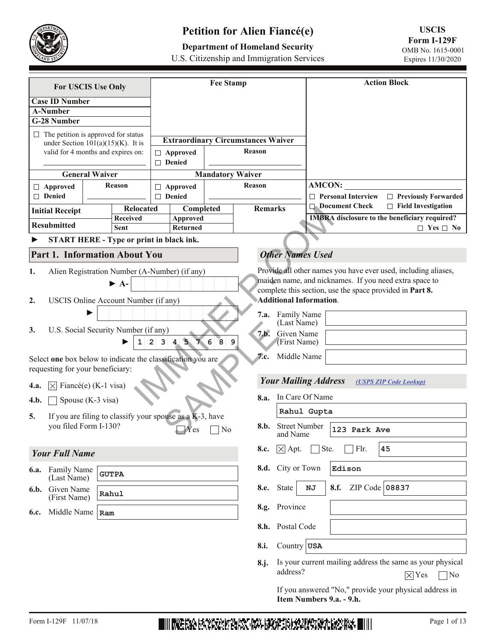

# **Petition for Alien Fiancé(e)**

# **Department of Homeland Security**

U.S. Citizenship and Immigration Services

| For USCIS Use Only                                                                 | <b>Fee Stamp</b>                          |                                          | <b>Action Block</b>                                            |
|------------------------------------------------------------------------------------|-------------------------------------------|------------------------------------------|----------------------------------------------------------------|
| <b>Case ID Number</b>                                                              |                                           |                                          |                                                                |
| <b>A-Number</b>                                                                    |                                           |                                          |                                                                |
| G-28 Number                                                                        |                                           |                                          |                                                                |
| $\Box$ The petition is approved for status                                         |                                           |                                          |                                                                |
| under Section $101(a)(15)(K)$ . It is                                              | <b>Extraordinary Circumstances Waiver</b> | Reason                                   |                                                                |
| valid for 4 months and expires on:                                                 | □ Approved<br>□ Denied                    |                                          |                                                                |
| <b>General Waiver</b>                                                              | <b>Mandatory Waiver</b>                   |                                          |                                                                |
| Reason<br>□ Approved                                                               | □ Approved                                | Reason                                   | <b>AMCON:</b>                                                  |
| $\Box$ Denied                                                                      | □ Denied                                  |                                          | <b>Personal Interview</b><br>$\Box$ Previously Forwarded<br>П. |
| <b>Relocated</b>                                                                   | Completed                                 | <b>Remarks</b>                           | <b>Document Check</b><br>$\Box$ Field Investigation            |
| <b>Initial Receipt</b><br><b>Received</b>                                          | Approved                                  |                                          | <b>IMBRA</b> disclosure to the beneficiary required?           |
| <b>Resubmitted</b><br>Sent                                                         | Returned                                  |                                          | $\Box$ Yes $\Box$ No                                           |
| START HERE - Type or print in black ink.                                           |                                           |                                          |                                                                |
| <b>Part 1. Information About You</b>                                               |                                           | <b>Other Names Used</b>                  |                                                                |
| Alien Registration Number (A-Number) (if any)<br>1.                                |                                           |                                          | Provide all other names you have ever used, including aliases, |
| $\blacktriangleright$ A-                                                           |                                           |                                          | maiden name, and nicknames. If you need extra space to         |
|                                                                                    |                                           |                                          | complete this section, use the space provided in Part 8.       |
| USCIS Online Account Number (if any)<br>2.                                         |                                           | <b>Additional Information.</b>           |                                                                |
|                                                                                    |                                           | Family Name<br>7.a.                      |                                                                |
| (Last Name)<br>U.S. Social Security Number (if any)<br>3.<br>7.b.<br>Given Name    |                                           |                                          |                                                                |
| 23457<br>6<br>$8^{\circ}$<br>$\mathbf{1}$                                          |                                           | 9<br>(First Name)                        |                                                                |
| Middle Name<br>7.c.<br>Select one box below to indicate the classification you are |                                           |                                          |                                                                |
| requesting for your beneficiary:                                                   |                                           |                                          |                                                                |
| Fiancé(e) (K-1 visa)<br><b>4.a.</b><br>IХ                                          |                                           | <b>Your Mailing Address</b>              | (USPS ZIP Code Lookup)                                         |
| 4.b.<br>Spouse (K-3 visa)                                                          |                                           | 8.a.                                     | In Care Of Name                                                |
| If you are filing to classify your spouse as a K-3, have<br>5.                     |                                           |                                          | Rahul Gupta                                                    |
| you filed Form I-130?                                                              | $Y$ es $N$ o                              | 8.b.<br><b>Street Number</b><br>and Name | 123 Park Ave                                                   |
| <b>Your Full Name</b>                                                              |                                           | $\boxtimes$ Apt.<br>8.c.                 | Ste.<br>45<br>Flr.                                             |
| <b>6.a.</b> Family Name<br><b>GUTPA</b><br>(Last Name)                             |                                           | 8.d. City or Town                        | Edison                                                         |
| Given Name<br>6.b.<br>Rahul<br>(First Name)                                        |                                           | 8.e. State                               | ZIP Code 08837<br>8.f.<br>ΝJ                                   |
| Middle Name<br>6.c.<br>Ram                                                         |                                           | 8.g. Province                            |                                                                |
|                                                                                    |                                           | 8.h. Postal Code                         |                                                                |
|                                                                                    |                                           | Country $\textsf{USA}$<br>8.i.           |                                                                |

**8.j.** Is your current mailing address the same as your physical address?  $\times$  Yes  $\Box$  No

If you answered "No," provide your physical address in **Item Numbers 9.a. - 9.h.**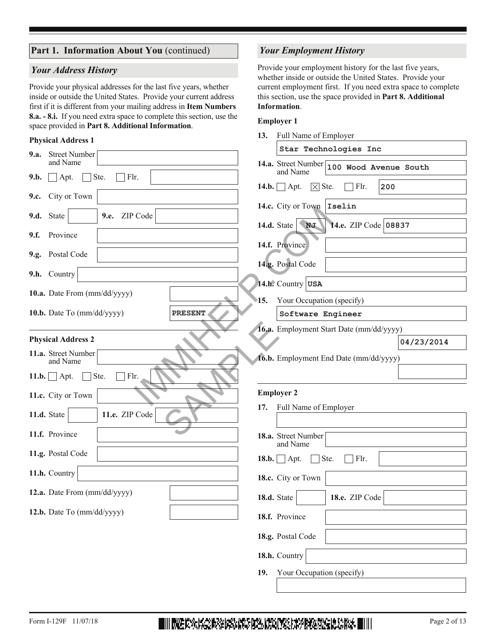#### Part 1. Information About You (continued)

#### *Your Address History*

Provide your physical addresses for the last five years, whether inside or outside the United States. Provide your current address first if it is different from your mailing address in **Item Numbers 8.a. - 8.i.** If you need extra space to complete this section, use the space provided in **Part 8. Additional Information**.

#### **Physical Address 1**

| 9.a. Street Number                           | Star Technologies Inc                                       |
|----------------------------------------------|-------------------------------------------------------------|
| and Name                                     | 14.a. Street Number 100 Wood Avenue South                   |
| Flr.<br>9.b.<br>Ste.<br>Apt.                 | and Name                                                    |
| City or Town<br>9.c.                         | Flr.<br>200<br>$14.b.$ Apt.<br>$ \times $ Ste.              |
|                                              | 14.c. City or Town   Iselin                                 |
| 9.d. State<br>ZIP Code<br>9.e.               | 14.d. State $\sqrt{\phantom{a}}$ NJ<br>14.e. ZIP Code 08837 |
| Province<br>9.f.                             |                                                             |
| 9.g. Postal Code                             | 14.f. Province                                              |
|                                              | 14.g. Postal Code                                           |
| 9.h. Country                                 | 14.h. Country USA                                           |
| 10.a. Date From (mm/dd/yyyy)                 | Your Occupation (specify)<br>15.                            |
| 10.b. Date To (mm/dd/yyyy)<br><b>PRESENT</b> | Software Engineer                                           |
|                                              | 16.a. Employment Start Date (mm/dd/yyyy)                    |
| <b>Physical Address 2</b>                    | 04/23/2014                                                  |
| 11.a. Street Number<br>and Name              | 16.b. Employment End Date (mm/dd/yyyy)                      |
| Ste.<br>Flr.<br>$11.b.$ Apt.                 |                                                             |
| 11.c. City or Town                           | <b>Employer 2</b>                                           |
| 11.e. ZIP Code<br>11.d. State                | Full Name of Employer<br>17.                                |
| 11.f. Province                               | 18.a. Street Number<br>and Name                             |
| 11.g. Postal Code                            |                                                             |
|                                              | Ste.<br>Flr.<br>$18.b.$ Apt.                                |
| 11.h. Country                                | 18.c. City or Town                                          |
| 12.a. Date From (mm/dd/yyyy)                 | 18.d. State<br>18.e. ZIP Code                               |
| 12.b. Date To (mm/dd/yyyy)                   | 18.f. Province                                              |
|                                              |                                                             |
|                                              | 18.g. Postal Code                                           |
|                                              | 18.h. Country                                               |
|                                              | Your Occupation (specify)<br>19.                            |

#### *Your Employment History*

Provide your employment history for the last five years, whether inside or outside the United States. Provide your current employment first. If you need extra space to complete this section, use the space provided in **Part 8. Additional Information**.

#### **Employer 1**

**13.** Full Name of Employer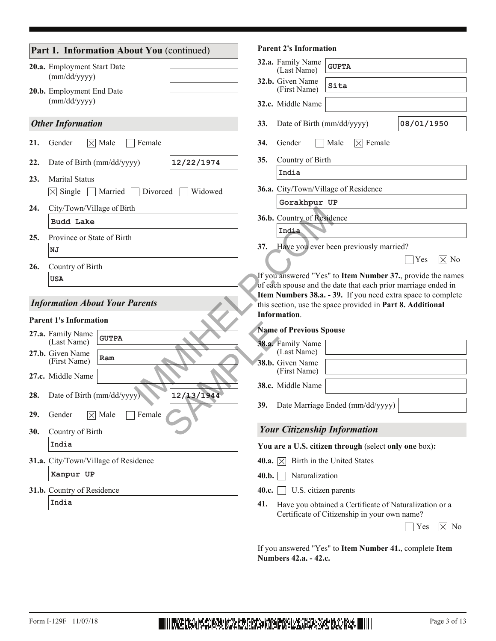|                                       | Part 1. Information About You (continued)    |            |                  | <b>Parent 2's Information</b>    |                                                                                                                               |                       |
|---------------------------------------|----------------------------------------------|------------|------------------|----------------------------------|-------------------------------------------------------------------------------------------------------------------------------|-----------------------|
|                                       | 20.a. Employment Start Date                  |            |                  | 32.a. Family Name<br>(Last Name) | <b>GUPTA</b>                                                                                                                  |                       |
|                                       | (mm/dd/yyyy)<br>20.b. Employment End Date    |            |                  | 32.b. Given Name<br>(First Name) | Sita                                                                                                                          |                       |
|                                       | (mm/dd/yyyy)                                 |            |                  | 32.c. Middle Name                |                                                                                                                               |                       |
|                                       | <b>Other Information</b>                     |            | 33.              | Date of Birth (mm/dd/yyyy)       |                                                                                                                               | 08/01/1950            |
| 21.                                   | $\times$ Male<br>Female<br>Gender            |            | 34.              | Gender                           | Male<br>$\vert \times \vert$ Female                                                                                           |                       |
| 22.                                   | Date of Birth (mm/dd/yyyy)                   | 12/22/1974 | 35.              | Country of Birth                 |                                                                                                                               |                       |
| 23.                                   | <b>Marital Status</b>                        |            |                  | India                            |                                                                                                                               |                       |
|                                       | $ \times $ Single<br>Divorced<br>Married     | Widowed    |                  |                                  | 36.a. City/Town/Village of Residence                                                                                          |                       |
| 24.                                   | City/Town/Village of Birth                   |            |                  | Gorakhpur UP                     |                                                                                                                               |                       |
|                                       | <b>Budd</b> Lake                             |            |                  | 36.b. Country of Residence       |                                                                                                                               |                       |
| 25.                                   | Province or State of Birth                   |            |                  | India                            |                                                                                                                               |                       |
|                                       | NJ                                           |            | 37.              |                                  | Have you ever been previously married?                                                                                        |                       |
| 26.                                   | Country of Birth                             |            |                  |                                  |                                                                                                                               | Yes<br>$\times$ No    |
|                                       | USA                                          |            |                  |                                  | If you answered "Yes" to Item Number 37., provide the names                                                                   |                       |
|                                       |                                              |            |                  |                                  | of each spouse and the date that each prior marriage ended in<br>Item Numbers 38.a. - 39. If you need extra space to complete |                       |
| <b>Information About Your Parents</b> |                                              |            |                  |                                  | this section, use the space provided in Part 8. Additional                                                                    |                       |
|                                       | <b>Parent 1's Information</b>                |            |                  | <b>Information.</b>              |                                                                                                                               |                       |
|                                       | 27.a. Family Name                            |            |                  | <b>Name of Previous Spouse</b>   |                                                                                                                               |                       |
|                                       | <b>GUTPA</b><br>(Last Name)                  |            |                  | 38.a. Family Name<br>(Last Name) |                                                                                                                               |                       |
|                                       | 27.b. Given Name<br>Ram<br>(First Name)      |            |                  | 38.b. Given Name                 |                                                                                                                               |                       |
|                                       | 27.c. Middle Name                            |            |                  | (First Name)                     |                                                                                                                               |                       |
|                                       |                                              |            |                  | 38.c. Middle Name                |                                                                                                                               |                       |
| 28.                                   | Date of Birth (mm/dd/yyyy)                   | 12/13/1944 |                  |                                  | 39. Date Marriage Ended (mm/dd/yyyy)                                                                                          |                       |
| 29.                                   | Female<br>$\overline{\times}$ Male<br>Gender |            |                  |                                  |                                                                                                                               |                       |
| 30.                                   | Country of Birth                             |            |                  |                                  | <b>Your Citizenship Information</b>                                                                                           |                       |
|                                       | India                                        |            |                  |                                  | You are a U.S. citizen through (select only one box):                                                                         |                       |
|                                       | 31.a. City/Town/Village of Residence         |            | 40.a. $ \times $ |                                  | Birth in the United States                                                                                                    |                       |
|                                       | Kanpur UP                                    |            | 40.b.            | Naturalization                   |                                                                                                                               |                       |
|                                       | 31.b. Country of Residence                   |            | 40.c.            | U.S. citizen parents             |                                                                                                                               |                       |
|                                       | India                                        |            | 41.              |                                  | Have you obtained a Certificate of Naturalization or a<br>Certificate of Citizenship in your own name?                        |                       |
|                                       |                                              |            |                  |                                  |                                                                                                                               | Yes<br>No<br>$\times$ |

If you answered "Yes" to **Item Number 41.**, complete **Item Numbers 42.a. - 42.c.**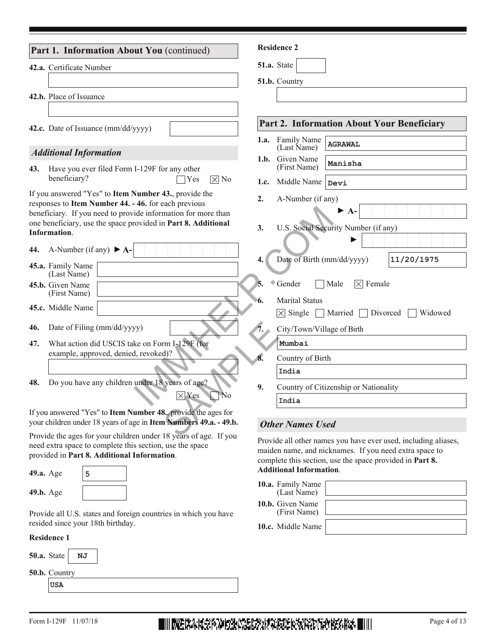| Part 1. Information About You (continued)                                                                                                      | <b>Residence 2</b>                                                                 |
|------------------------------------------------------------------------------------------------------------------------------------------------|------------------------------------------------------------------------------------|
| 42.a. Certificate Number                                                                                                                       | 51.a. State                                                                        |
| 42.b. Place of Issuance                                                                                                                        | 51.b. Country                                                                      |
| 42.c. Date of Issuance (mm/dd/yyyy)                                                                                                            | Part 2. Information About Your Beneficiary                                         |
| <b>Additional Information</b>                                                                                                                  | 1.a. Family Name<br><b>AGRAWAL</b><br>(Last Name)                                  |
| Have you ever filed Form I-129F for any other<br>43.                                                                                           | 1.b. Given Name<br>Manisha<br>(First Name)                                         |
| beneficiary?<br>$\times$ No<br>Yes                                                                                                             | Middle Name<br>1.c.<br>Devi                                                        |
| If you answered "Yes" to Item Number 43., provide the<br>responses to Item Number 44. - 46. for each previous                                  | 2.<br>A-Number (if any)                                                            |
| beneficiary. If you need to provide information for more than<br>one beneficiary, use the space provided in Part 8. Additional<br>Information. | $\blacktriangleright$ A-<br>U.S. Social Security Number (if any)<br>3.             |
| A-Number (if any) $\blacktriangleright$ A-<br>44.<br>45.a. Family Name<br>(Last Name)                                                          | Date of Birth (mm/dd/yyyy)<br>11/20/1975                                           |
| 45.b. Given Name<br>(First Name)                                                                                                               | Gender<br>Male<br>$ \times $ Female                                                |
| 45.c. Middle Name                                                                                                                              | <b>Marital Status</b><br>$\overline{\times}$ Single<br>Married Divorced<br>Widowed |
| Date of Filing (mm/dd/yyyy)<br>46.                                                                                                             | City/Town/Village of Birth                                                         |
| What action did USCIS take on Form I-129F (for<br>47.<br>example, approved, denied, revoked)?                                                  | Mumbai                                                                             |
|                                                                                                                                                | 8.<br>Country of Birth<br>India                                                    |
| Do you have any children under 18 years of age?<br>48.                                                                                         | 9.<br>Country of Citizenship or Nationality                                        |
| $\boxtimes$ Yes<br>'No                                                                                                                         | India                                                                              |
| If you answered "Yes" to Item Number 48., provide the ages for<br>your children under 18 years of age in Item Numbers 49.a. - 49.b.            | <b>Other Names Used</b>                                                            |
| Provide the ages for your children under 18 years of age If you                                                                                |                                                                                    |

Provide the ages for your children under 18 years of age. If you need extra space to complete this section, use the space provided in **Part 8. Additional Information**.

| 49.a. Age | 5 |
|-----------|---|
| 49.b. Age |   |

Provide all U.S. states and foreign countries in which you have resided since your 18th birthday.

#### **Residence 1**

| 50.a. State $ $      |            | ΝJ |  |  |
|----------------------|------------|----|--|--|
| <b>50.b.</b> Country |            |    |  |  |
|                      | <b>USA</b> |    |  |  |

Provide all other names you have ever used, including aliases, maiden name, and nicknames. If you need extra space to complete this section, use the space provided in **Part 8. Additional Information**.

| 10.a. Family Name<br>(Last Name) |  |
|----------------------------------|--|
| 10.b. Given Name<br>(First Name) |  |
| 10.c. Middle Name                |  |

# Form I-129F 11/07/18 Page 4 of 13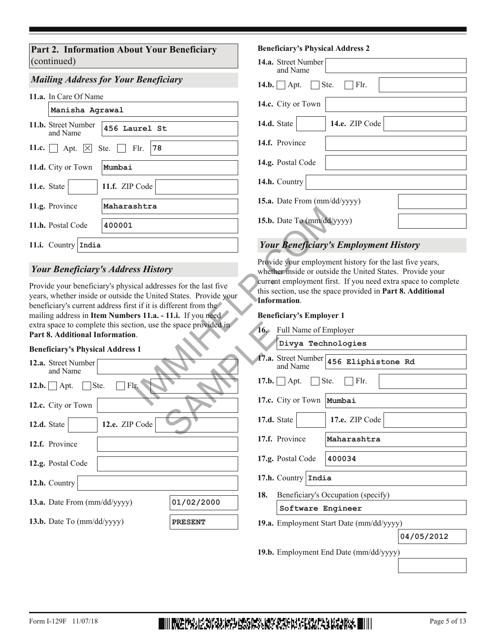**Part 2. Information About Your Beneficiary**  (continued)

#### *Mailing Address for Your Beneficiary*

| 11.a. In Care Of Name |  |
|-----------------------|--|
|-----------------------|--|

|             | Manisha Agrawal                             |                |
|-------------|---------------------------------------------|----------------|
|             | 11.b. Street Number<br>and Name             | 456 Laurel St  |
|             | 11.c. $\Box$ Apt. $\times$ Ste. $\Box$ Flr. | 78             |
|             | 11.d. City or Town                          | Mumbai         |
| 11.e. State |                                             | 11.f. ZIP Code |
|             | 11.g. Province                              | Maharashtra    |
|             | 11.h. Postal Code                           | 400001         |
|             | 11.i. Country India                         |                |

#### *Your Beneficiary's Address History*

Provide your beneficiary's physical addresses for the last five years, whether inside or outside the United States. Provide your beneficiary's current address first if it is different from the mailing address in **Item Numbers 11.a. - 11.i.** If you need extra space to complete this section, use the space provided in **Part 8. Additional Information**.

#### **Beneficiary's Physical Address 1**

| extra space to complete this section, use the space provided in<br>Part 8. Additional Information. |                | $16.$ F        |
|----------------------------------------------------------------------------------------------------|----------------|----------------|
| <b>Beneficiary's Physical Address 1</b>                                                            |                |                |
| <b>12.a.</b> Street Number<br>and Name                                                             |                | 17.a. S<br>a   |
| $\Box$ Ste.<br>12.b. $\vert$ Apt.<br>Flr.                                                          |                | 17.b.          |
| 12.c. City or Town                                                                                 |                | 17.c. $\left($ |
| 12.e. ZIP Code<br>12.d. State                                                                      |                | 17.d. S        |
| 12.f. Province                                                                                     |                | 17.f. $F$      |
| 12.g. Postal Code                                                                                  |                | 17.g. $F$      |
| 12.h. Country                                                                                      |                | 17.h.          |
| 13.a. Date From (mm/dd/yyyy)                                                                       | 01/02/2000     | I<br>18.       |
| 13.b. Date To $\text{mm}/\text{dd}/\text{y}\text{y}\text{y}\text{y}$                               | <b>PRESENT</b> | 19.a. E        |

#### **Beneficiary's Physical Address 2**

| <b>14.a.</b> Street Number<br>and Name                   |  |  |
|----------------------------------------------------------|--|--|
| $\vert \ \vert$ Flr.<br>14.b. $\Box$ Apt.<br>$\Box$ Ste. |  |  |
| 14.c. City or Town                                       |  |  |
| 14.e. ZIP Code<br>14.d. State                            |  |  |
| 14.f. Province                                           |  |  |
| 14.g. Postal Code                                        |  |  |
| 14.h. Country                                            |  |  |
| 15.a. Date From (mm/dd/yyyy)                             |  |  |
| 15.b. Date To (mm/dd/yyyy)                               |  |  |

## *Your Beneficiary's Employment History*

#### **Beneficiary's Employer 1**

| sncra                                                                                                                                               |                                                                                                                                                                                                                                                                                                         |
|-----------------------------------------------------------------------------------------------------------------------------------------------------|---------------------------------------------------------------------------------------------------------------------------------------------------------------------------------------------------------------------------------------------------------------------------------------------------------|
|                                                                                                                                                     | 15.b. Date To (mm/dd/yyyy)                                                                                                                                                                                                                                                                              |
|                                                                                                                                                     | <b>Your Beneficiary's Employment History</b>                                                                                                                                                                                                                                                            |
| ss History<br>cal addresses for the last five<br>the United States. Provide your<br>t if it is different from the<br>$rs$ 11.a. - 11.i. If you need | Provide your employment history for the last five years,<br>whether inside or outside the United States. Provide your<br>current employment first. If you need extra space to complete<br>this section, use the space provided in Part 8. Additional<br>Information.<br><b>Beneficiary's Employer 1</b> |
| ion, use the space provided in                                                                                                                      |                                                                                                                                                                                                                                                                                                         |
| ì.                                                                                                                                                  | 16. Full Name of Employer                                                                                                                                                                                                                                                                               |
| $\frac{1}{2}$                                                                                                                                       | Divya Technologies                                                                                                                                                                                                                                                                                      |
|                                                                                                                                                     | 17.a. Street Number<br>456 Eliphistone Rd<br>and Name                                                                                                                                                                                                                                                   |
| r.                                                                                                                                                  | Flr.<br>$\bigcap$ Apt.<br>Ste.<br>17.b.                                                                                                                                                                                                                                                                 |
|                                                                                                                                                     | 17.c. City or Town<br>Mumbai                                                                                                                                                                                                                                                                            |
| Code                                                                                                                                                | 17.e. ZIP Code<br>17.d. State                                                                                                                                                                                                                                                                           |
|                                                                                                                                                     | 17.f. Province<br>Maharashtra                                                                                                                                                                                                                                                                           |
|                                                                                                                                                     | 17.g. Postal Code<br>400034                                                                                                                                                                                                                                                                             |
|                                                                                                                                                     | 17.h. Country $\vert$ India                                                                                                                                                                                                                                                                             |
|                                                                                                                                                     | 18.<br>Beneficiary's Occupation (specify)                                                                                                                                                                                                                                                               |
| 01/02/2000                                                                                                                                          | Software Engineer                                                                                                                                                                                                                                                                                       |
| <b>PRESENT</b>                                                                                                                                      | 19.a. Employment Start Date (mm/dd/yyyy)                                                                                                                                                                                                                                                                |
|                                                                                                                                                     | 04/05/2012                                                                                                                                                                                                                                                                                              |

**19.b.** Employment End Date (mm/dd/yyyy)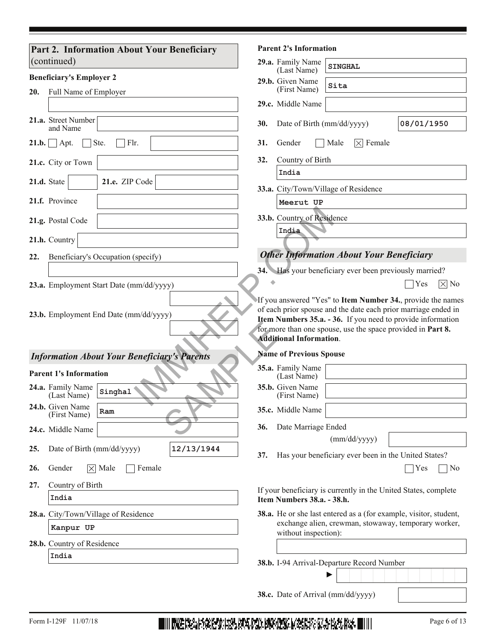| Part 2. Information About Your Beneficiary          | <b>Parent 2's Information</b>                                                                                                   |  |  |  |  |  |
|-----------------------------------------------------|---------------------------------------------------------------------------------------------------------------------------------|--|--|--|--|--|
| $ $ (continued)                                     | 29.a. Family Name<br><b>SINGHAL</b><br>(Last Name)                                                                              |  |  |  |  |  |
| <b>Beneficiary's Employer 2</b>                     | 29.b. Given Name<br>Sita<br>(First Name)                                                                                        |  |  |  |  |  |
| 20.<br>Full Name of Employer                        | 29.c. Middle Name                                                                                                               |  |  |  |  |  |
| 21.a. Street Number<br>and Name                     | 08/01/1950<br>30.<br>Date of Birth (mm/dd/yyyy)                                                                                 |  |  |  |  |  |
| Flr.<br>$\Box$ Apt.<br>Ste.<br>21.b.                | $\vert \times \vert$ Female<br>31.<br>Gender<br>Male                                                                            |  |  |  |  |  |
| 21.c. City or Town                                  | Country of Birth<br>32.                                                                                                         |  |  |  |  |  |
| 21.e. ZIP Code<br>21.d. State                       | India                                                                                                                           |  |  |  |  |  |
| 21.f. Province                                      | 33.a. City/Town/Village of Residence<br>Meerut UP                                                                               |  |  |  |  |  |
| 21.g. Postal Code                                   | 33.b. Country of Residence                                                                                                      |  |  |  |  |  |
| 21.h. Country                                       | India                                                                                                                           |  |  |  |  |  |
| 22.<br>Beneficiary's Occupation (specify)           | <b>Other Information About Your Beneficiary</b>                                                                                 |  |  |  |  |  |
|                                                     | 34. Has your beneficiary ever been previously married?                                                                          |  |  |  |  |  |
| 23.a. Employment Start Date (mm/dd/yyyy)            | Yes<br>$\times$ No                                                                                                              |  |  |  |  |  |
| <b>Information About Your Beneficiary's Parents</b> | for more than one spouse, use the space provided in Part 8.<br><b>Additional Information.</b><br><b>Name of Previous Spouse</b> |  |  |  |  |  |
| <b>Parent 1's Information</b>                       | 35.a. Family Name<br>(Last Name)                                                                                                |  |  |  |  |  |
| 24.a. Family Name<br>Singhal<br>(Last Name)         | 35.b. Given Name<br>(First Name)                                                                                                |  |  |  |  |  |
| 24.b. Given Name<br>Ram<br>(First Name)             | 35.c. Middle Name                                                                                                               |  |  |  |  |  |
| 24.c. Middle Name                                   | Date Marriage Ended<br>36.                                                                                                      |  |  |  |  |  |
| 12/13/1944<br>Date of Birth (mm/dd/yyyy)<br>25.     | (mm/dd/yyyy)                                                                                                                    |  |  |  |  |  |
| $\times$ Male<br>26.<br>Gender<br>Female            | Has your beneficiary ever been in the United States?<br>37.<br>Yes<br>No                                                        |  |  |  |  |  |
| Country of Birth<br>27.                             | If your beneficiary is currently in the United States, complete                                                                 |  |  |  |  |  |
| India                                               | Item Numbers 38.a. - 38.h.                                                                                                      |  |  |  |  |  |
| 28.a. City/Town/Village of Residence                | 38.a. He or she last entered as a (for example, visitor, student,                                                               |  |  |  |  |  |
| Kanpur UP                                           | exchange alien, crewman, stowaway, temporary worker,<br>without inspection):                                                    |  |  |  |  |  |
| 28.b. Country of Residence                          |                                                                                                                                 |  |  |  |  |  |
| India                                               |                                                                                                                                 |  |  |  |  |  |
|                                                     | 38.b. I-94 Arrival-Departure Record Number                                                                                      |  |  |  |  |  |

Form I-129F 11/07/18 Page 6 of 13

**38.c.** Date of Arrival (mm/dd/yyyy)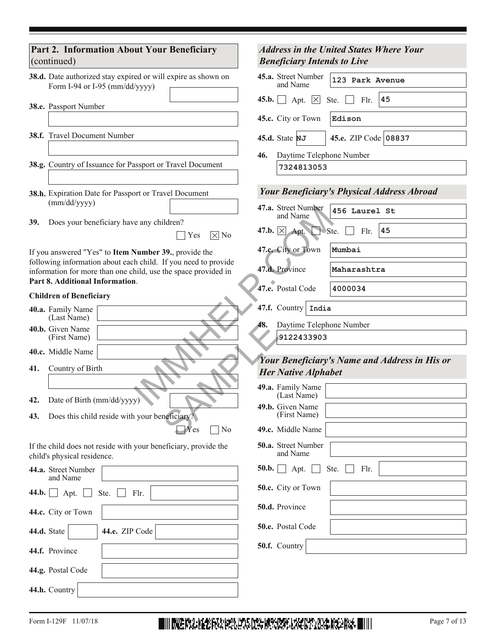| Part 2. Information About Your Beneficiary<br>(continued)                                                                        | <b>Address in the United States Where Your</b><br><b>Beneficiary Intends to Live</b> |  |  |  |  |  |
|----------------------------------------------------------------------------------------------------------------------------------|--------------------------------------------------------------------------------------|--|--|--|--|--|
| 38.d. Date authorized stay expired or will expire as shown on<br>Form I-94 or I-95 (mm/dd/yyyy)                                  | 45.a. Street Number<br>123 Park Avenue<br>and Name                                   |  |  |  |  |  |
| 38.e. Passport Number                                                                                                            | 45.b.<br>Apt. $\times$<br>45<br>Ste.<br>Flr.                                         |  |  |  |  |  |
|                                                                                                                                  | 45.c. City or Town<br>Edison                                                         |  |  |  |  |  |
| 38.f. Travel Document Number                                                                                                     | 45.e. ZIP Code 08837<br>45.d. State $NJ$                                             |  |  |  |  |  |
| 38.g. Country of Issuance for Passport or Travel Document                                                                        | Daytime Telephone Number<br>46.<br>7324813053                                        |  |  |  |  |  |
| 38.h. Expiration Date for Passport or Travel Document                                                                            | <b>Your Beneficiary's Physical Address Abroad</b>                                    |  |  |  |  |  |
| (mm/dd/yyyy)                                                                                                                     | 47.a. Street Number<br>456 Laurel St<br>and Name                                     |  |  |  |  |  |
| 39.<br>Does your beneficiary have any children?<br>$ \overline{X} $ No<br>Yes                                                    | 47.b. $\times$ Apt.<br>45<br>Flr.<br>Ste.                                            |  |  |  |  |  |
| If you answered "Yes" to Item Number 39., provide the                                                                            | Mumbai<br>47.c. City or Town                                                         |  |  |  |  |  |
| following information about each child. If you need to provide<br>information for more than one child, use the space provided in | 47.d. Province<br>Maharashtra                                                        |  |  |  |  |  |
| Part 8. Additional Information.<br><b>Children of Beneficiary</b>                                                                | 47.e. Postal Code<br>4000034                                                         |  |  |  |  |  |
| 40.a. Family Name                                                                                                                | 47.f. Country   India                                                                |  |  |  |  |  |
| (Last Name)<br>40.b. Given Name                                                                                                  | Daytime Telephone Number<br>48.                                                      |  |  |  |  |  |
| (First Name)                                                                                                                     | 9122433903                                                                           |  |  |  |  |  |
| 40.c. Middle Name                                                                                                                | Your Beneficiary's Name and Address in His or                                        |  |  |  |  |  |
| Country of Birth<br>41.                                                                                                          | <b>Her Native Alphabet</b>                                                           |  |  |  |  |  |
|                                                                                                                                  | 49.a. Family Name<br>(Last Name)                                                     |  |  |  |  |  |
| Date of Birth (mm/dd/yyyy)<br>42.                                                                                                | 49.b. Given Name                                                                     |  |  |  |  |  |
| Does this child reside with your beneficiary?<br>43.                                                                             | (First Name)                                                                         |  |  |  |  |  |
| No<br>$Y$ es<br>If the child does not reside with your beneficiary, provide the                                                  | 49.c. Middle Name<br>50.a. Street Number                                             |  |  |  |  |  |
| child's physical residence.                                                                                                      | and Name                                                                             |  |  |  |  |  |
| 44.a. Street Number<br>and Name                                                                                                  | 50.b.<br>Apt.<br>Ste.<br>Flr.                                                        |  |  |  |  |  |
| 44.b.<br>Ste.<br>Flr.<br>Apt.                                                                                                    | 50.c. City or Town                                                                   |  |  |  |  |  |
| 44.c. City or Town                                                                                                               | 50.d. Province                                                                       |  |  |  |  |  |
| 44.d. State<br>44.e. ZIP Code                                                                                                    | 50.e. Postal Code                                                                    |  |  |  |  |  |
| 44.f. Province                                                                                                                   | 50.f. Country                                                                        |  |  |  |  |  |
| 44.g. Postal Code                                                                                                                |                                                                                      |  |  |  |  |  |
| 44.h. Country                                                                                                                    |                                                                                      |  |  |  |  |  |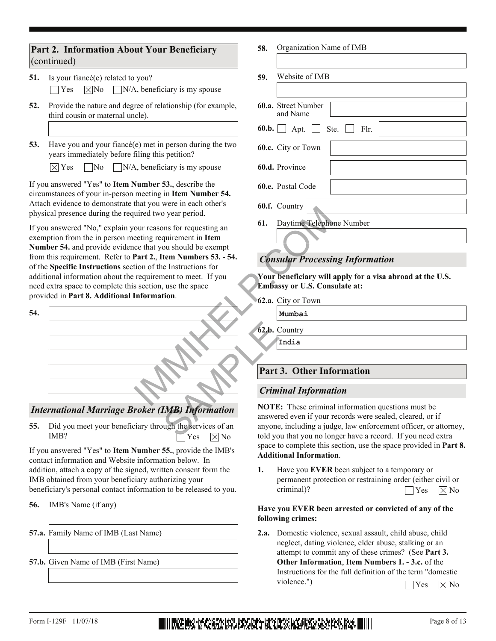#### **Part 2. Information About Your Beneficiary**  (continued)

- **51.** Is your fiancé(e) related to you? Yes  $[\times]$ No  $[\text{N/A}, \text{beneficiency is my spouse}]$
- 52. Provide the nature and degree of relationship (for example, third cousin or maternal uncle).
- 53. Have you and your fiancé(e) met in person during the two years immediately before filing this petition?

 $[\times]$  Yes  $\Box$  No  $\Box$  N/A, beneficiary is my spouse

If you answered "Yes" to **Item Number 53.**, describe the circumstances of your in-person meeting in **Item Number 54.** Attach evidence to demonstrate that you were in each other's physical presence during the required two year period.

If you answered "No," explain your reasons for requesting an exemption from the in person meeting requirement in **Item Number 54.** and provide evidence that you should be exempt from this requirement. Refer to **Part 2.**, **Item Numbers 53.** - **54.** of the **Specific Instructions** section of the Instructions for additional information about the requirement to meet. If you need extra space to complete this section, use the space provided in **Part 8. Additional Information**.



## *International Marriage Broker (IMB) Information*

Did you meet your beneficiary through the services of an IMB? **55.**  $\Box$ Yes  $\boxtimes$  No

If you answered "Yes" to **Item Number 55.**, provide the IMB's contact information and Website information below. In addition, attach a copy of the signed, written consent form the IMB obtained from your beneficiary authorizing your beneficiary's personal contact information to be released to you.

- **56.** IMB's Name (if any)
- **57.a.** Family Name of IMB (Last Name)
- **57.b.** Given Name of IMB (First Name)

Organization Name of IMB **58.**

| 59. | Website of IMB                                   |  |  |  |  |  |
|-----|--------------------------------------------------|--|--|--|--|--|
|     |                                                  |  |  |  |  |  |
|     | <b>60.a.</b> Street Number<br>and Name           |  |  |  |  |  |
|     | <b>60.b.</b> $\Box$ Apt. $\Box$ Ste. $\Box$ Flr. |  |  |  |  |  |
|     | <b>60.c.</b> City or Town                        |  |  |  |  |  |
|     | 60.d. Province                                   |  |  |  |  |  |
|     | <b>60.e.</b> Postal Code                         |  |  |  |  |  |
|     | 60.f. Country                                    |  |  |  |  |  |
| 61. | Daytime Telephone Number                         |  |  |  |  |  |
|     |                                                  |  |  |  |  |  |

# *Consular Processing Information*

**Your beneficiary will apply for a visa abroad at the U.S. Embassy or U.S. Consulate at:**

- 62.a. City or Town
	- **Mumbai**
- **62.b.** Country **India**

# **Part 3. Other Information**

#### *Criminal Information*

**NOTE:** These criminal information questions must be answered even if your records were sealed, cleared, or if anyone, including a judge, law enforcement officer, or attorney, told you that you no longer have a record. If you need extra space to complete this section, use the space provided in **Part 8. Additional Information**.

Have you **EVER** been subject to a temporary or permanent protection or restraining order (either civil or criminal)? **1.**  $\bigcap$  Yes  $\bigtimes$  No

#### **Have you EVER been arrested or convicted of any of the following crimes:**

Domestic violence, sexual assault, child abuse, child **2.a.** neglect, dating violence, elder abuse, stalking or an attempt to commit any of these crimes? (See **Part 3. Other Information**, **Item Numbers 1. - 3.c.** of the Instructions for the full definition of the term "domestic violence.")  $\bigcap$  Yes  $\bigotimes$  No

# Form I-129F 11/07/18 **Page 8 of 13 Have Box 15 Quart Box 2014 12 Com 2014 12 Com 2014 2014 2014 12 Page 8 of 13**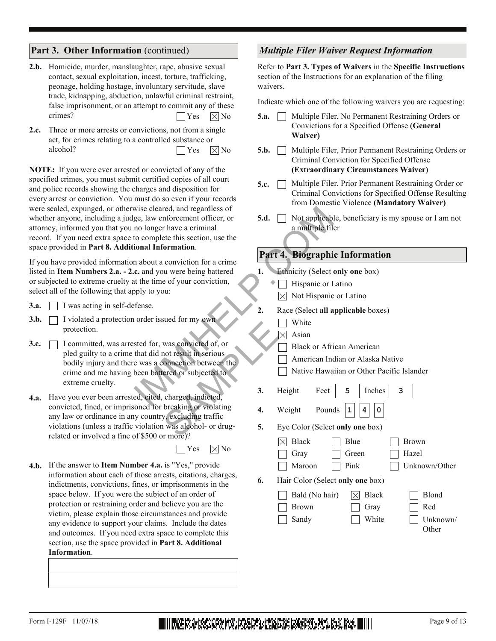#### **Part 3. Other Information** (continued)

- 2.b. Homicide, murder, manslaughter, rape, abusive sexual contact, sexual exploitation, incest, torture, trafficking, peonage, holding hostage, involuntary servitude, slave trade, kidnapping, abduction, unlawful criminal restraint, false imprisonment, or an attempt to commit any of these crimes?  $\bigcap$  Yes  $\bigotimes$  No
- 2.c. Three or more arrests or convictions, not from a single act, for crimes relating to a controlled substance or alcohol?  $\bigcap$  Yes  $\bigtimes$  No

**NOTE:** If you were ever arrested or convicted of any of the specified crimes, you must submit certified copies of all court and police records showing the charges and disposition for every arrest or conviction. You must do so even if your records were sealed, expunged, or otherwise cleared, and regardless of whether anyone, including a judge, law enforcement officer, or attorney, informed you that you no longer have a criminal record. If you need extra space to complete this section, use the space provided in **Part 8. Additional Information**.

If you have provided information about a conviction for a crime listed in **Item Numbers 2.a. - 2.c.** and you were being battered or subjected to extreme cruelty at the time of your conviction, select all of the following that apply to you:

- **3.a.** I was acting in self-defense.
- **3.b.** <u>I</u> violated a protection order issued for my own protection.
- **3.c.**  $\Box$  I committed, was arrested for, was convicted of, or pled guilty to a crime that did not result in serious bodily injury and there was a connection between the crime and me having been battered or subjected to extreme cruelty. wise cleared, and regardless of<br>
no longer have a criminal<br>
to complete this section, use the<br> **EXECUTE:** The complete disconne<br> **EXECUTE:** A substrated<br> **EXECUTE:** C. and you were being battered<br>
the time of your convict Was convicted of, or<br>
was convicted of, or<br>
not result in serious<br>
connection between the<br>
ered or subjected to<br>
level or subjected to<br>
level or<br>
breaking or violating<br>
y, excluding traffic<br>
y, excluding traffic<br>
was alcoh
- **4.a.** Have you ever been arrested, cited, charged, indicted, **3.** Height Feet 5 Inches convicted, fined, or imprisoned for breaking or violating any law or ordinance in any country, excluding traffic violations (unless a traffic violation was alcohol- or drugrelated or involved a fine of \$500 or more)?

 $\bigcap$  Yes  $\bigtimes$  No

4.b. If the answer to Item Number 4.a. is "Yes," provide information about each of those arrests, citations, charges, indictments, convictions, fines, or imprisonments in the space below. If you were the subject of an order of protection or restraining order and believe you are the victim, please explain those circumstances and provide any evidence to support your claims. Include the dates and outcomes. If you need extra space to complete this section, use the space provided in **Part 8. Additional Information**.

#### *Multiple Filer Waiver Request Information*

Refer to **Part 3. Types of Waivers** in the **Specific Instructions**  section of the Instructions for an explanation of the filing waivers.

Indicate which one of the following waivers you are requesting:

- **5.a.**  $\Box$  Multiple Filer, No Permanent Restraining Orders or Convictions for a Specified Offense **(General Waiver)**
- **5.b.**  $\Box$  Multiple Filer, Prior Permanent Restraining Orders or Criminal Conviction for Specified Offense **(Extraordinary Circumstances Waiver)**
- Multiple Filer, Prior Permanent Restraining Order or Criminal Convictions for Specified Offense Resulting from Domestic Violence **(Mandatory Waiver)** 5.c.  $\Box$
- Not applicable, beneficiary is my spouse or I am not a multiple filer **5.d.**

#### **Part 4. Biographic Information**

- **1.** Ethnicity (Select **only one** box)
	- $\bullet$   $\Box$  Hispanic or Latino
	- $[\times]$  Not Hispanic or Latino
- **2.** Race (Select **all applicable** boxes)
	- White
	- $[\times]$  Asian
	- Black or African American
	- American Indian or Alaska Native
	- Native Hawaiian or Other Pacific Islander
	- **5 3**
- **4.** Weight Pounds  $1|4|0$

Sandy

**5.** Eye Color (Select **only one** box)

|    | Black<br>$1\times 1$             |  | Blue             | <b>Brown</b>  |
|----|----------------------------------|--|------------------|---------------|
|    | $\Box$ Gray                      |  | Green            | Hazel         |
|    | Maroon                           |  | $\vert$ Pink     | Unknown/Other |
| 6. | Hair Color (Select only one box) |  |                  |               |
|    | $\Box$ Bald (No hair)            |  | $ \times $ Black | <b>Blond</b>  |
|    | Brown                            |  | Gray             | Red           |

| <b>Urav</b> | - кеа    |
|-------------|----------|
| White       | Unknown/ |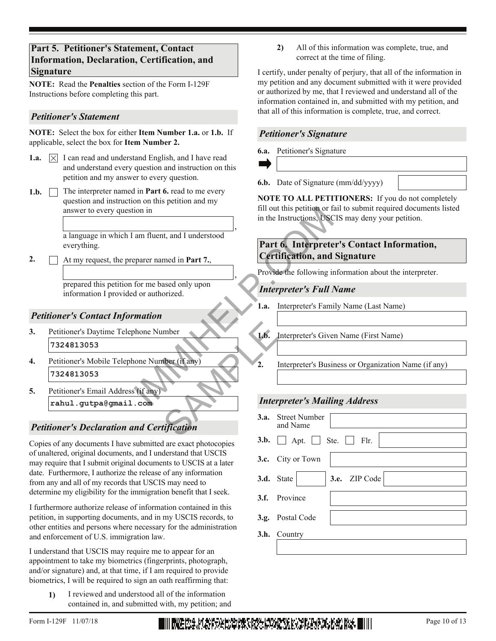#### **Part 5. Petitioner's Statement, Contact Information, Declaration, Certification, and Signature**

**NOTE:** Read the **Penalties** section of the Form I-129F Instructions before completing this part.

#### *Petitioner's Statement*

**NOTE:** Select the box for either **Item Number 1.a.** or **1.b.** If applicable, select the box for **Item Number 2.**

- **1.a.**  $\boxed{\times}$  I can read and understand English, and I have read and understand every question and instruction on this petition and my answer to every question.
- 1.b.  $\Box$  The interpreter named in **Part 6.** read to me every question and instruction on this petition and my answer to every question in

a language in which I am fluent, and I understood everything.

At my request, the preparer named in **Part 7.**, **2.**

> prepared this petition for me based only upon information I provided or authorized.

#### *Petitioner's Contact Information*

- **3.** Petitioner's Daytime Telephone Number **7324813053**
- **4.** Petitioner's Mobile Telephone Number (if any) **7324813053** mber<br>
(if any)<br>
1.b.<br>
1.b.<br>
1.b.<br>
1.b.<br>
1.b.<br>
1.b.<br>
1.b.<br>
1.b.<br>
1.b.<br>
1.b.<br>
1.b.<br>
1.b.<br>
2.<br>
Inter
- **5.** Petitioner's Email Address (if any) **rahul.gutpa@gmail.com**

# *Petitioner's Declaration and Certification*

Copies of any documents I have submitted are exact photocopies of unaltered, original documents, and I understand that USCIS may require that I submit original documents to USCIS at a later date. Furthermore, I authorize the release of any information from any and all of my records that USCIS may need to determine my eligibility for the immigration benefit that I seek.

I furthermore authorize release of information contained in this petition, in supporting documents, and in my USCIS records, to other entities and persons where necessary for the administration and enforcement of U.S. immigration law.

I understand that USCIS may require me to appear for an appointment to take my biometrics (fingerprints, photograph, and/or signature) and, at that time, if I am required to provide biometrics, I will be required to sign an oath reaffirming that:

**1)** I reviewed and understood all of the information contained in, and submitted with, my petition; and **2)** All of this information was complete, true, and correct at the time of filing.

I certify, under penalty of perjury, that all of the information in my petition and any document submitted with it were provided or authorized by me, that I reviewed and understand all of the information contained in, and submitted with my petition, and that all of this information is complete, true, and correct.

#### *Petitioner's Signature*

**6.a.** Petitioner's Signature

,

,

**6.b.** Date of Signature (mm/dd/yyyy)

**NOTE TO ALL PETITIONERS:** If you do not completely fill out this petition or fail to submit required documents listed in the Instructions, USCIS may deny your petition.

# **Part 6. Interpreter's Contact Information, Certification, and Signature** Fill out this petition or fail<br>
in the Instructions, USCIS<br>
am fluent, and I understood<br>
Part 6. Interpreter's SUSCIS<br>
Part 6. Interpreter's SUSCIS<br>
Part 6. Interpreter's SUSCIS<br>
Provide the following info<br>
for me based on

Provide the following information about the interpreter.

#### *Interpreter's Full Name*

**1.a.** Interpreter's Family Name (Last Name)

**1.b.** Interpreter's Given Name (First Name)

**2.** Interpreter's Business or Organization Name (if any)

#### *Interpreter's Mailing Address*

| <b>3.a.</b> Street Number<br>and Name           |  |  |  |  |  |  |  |
|-------------------------------------------------|--|--|--|--|--|--|--|
| <b>3.b.</b> $\Box$ Apt. $\Box$ Ste. $\Box$ Flr. |  |  |  |  |  |  |  |
| 3.c. City or Town                               |  |  |  |  |  |  |  |
| 3.e. ZIP Code<br>3.d. State                     |  |  |  |  |  |  |  |
| 3.f. Province                                   |  |  |  |  |  |  |  |
| 3.g. Postal Code                                |  |  |  |  |  |  |  |
| 3.h. Country                                    |  |  |  |  |  |  |  |
|                                                 |  |  |  |  |  |  |  |

Form I-129F 11/07/18 Page 10 of 13 **Direct Property Property Property Property Property Property Property Property**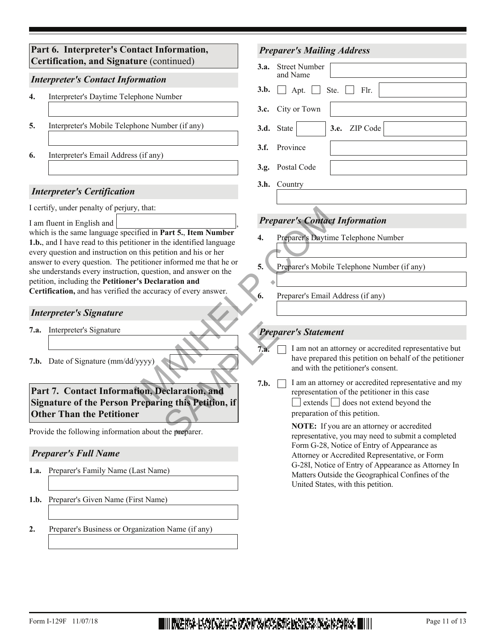**4.** Interpreter's Daytime Telephone Number **6.** Interpreter's Email Address (if any) *Interpreter's Contact Information Interpreter's Certification* I certify, under penalty of perjury, that: which is the same language specified in **Part 5.**, **Item Number 1.b.**, and I have read to this petitioner in the identified language every question and instruction on this petition and his or her answer to every question. The petitioner informed me that he or she understands every instruction, question, and answer on the petition, including the **Petitioner's Declaration and Certification,** and has verified the accuracy of every answer. I am fluent in English and **7.b.** Date of Signature (mm/dd/yyyy) **7.a.** Interpreter's Signature *Interpreter's Signature* **Part 6. Interpreter's Contact Information, Certification, and Signature** (continued) **5.** Interpreter's Mobile Telephone Number (if any) *Preparer's Mailing Address* **3.c.** City or Town **3.d.** State **3.e.** ZIP Code **3.f.** Province Postal Code **3.g.** Street Number **3.a.** and Name **3.b.**  $\Box$  Apt.  $\Box$  Ste.  $\Box$  Flr. **3.h.** Country *Preparer's Contact Information* **5.** Preparer's Mobile Telephone Number (if any) **4.** Preparer's Daytime Telephone Number **6.** Preparer's Email Address (if any) **Part 7. Contact Information, Declaration, and Signature of the Person Preparing this Petition, if Other Than the Petitioner** *Preparer's Full Name* Provide the following information about the preparer. **1.a.** Preparer's Family Name (Last Name) **1.b.** Preparer's Given Name (First Name) **2.** Preparer's Business or Organization Name (if any) *Preparer's Statement* I am not an attorney or accredited representative but have prepared this petition on behalf of the petitioner and with the petitioner's consent. I am an attorney or accredited representative and my representation of the petitioner in this case  $extends$   $\Box$  does not extend beyond the **7.a. 7.b.** preparation of this petition. **NOTE:** If you are an attorney or accredited representative, you may need to submit a completed Form G-28, Notice of Entry of Appearance as Attorney or Accredited Representative, or Form G-28I, Notice of Entry of Appearance as Attorney In Matters Outside the Geographical Confines of the United States, with this petition. Expansion of the security of the Mumber<br>
In this petition and his or her<br>
In this petition and his or her<br>
In this petition, and answer on the<br>
In a diamon and the accuracy of every answer.<br>
The accuracy of every answer.<br> Prepose 7.a.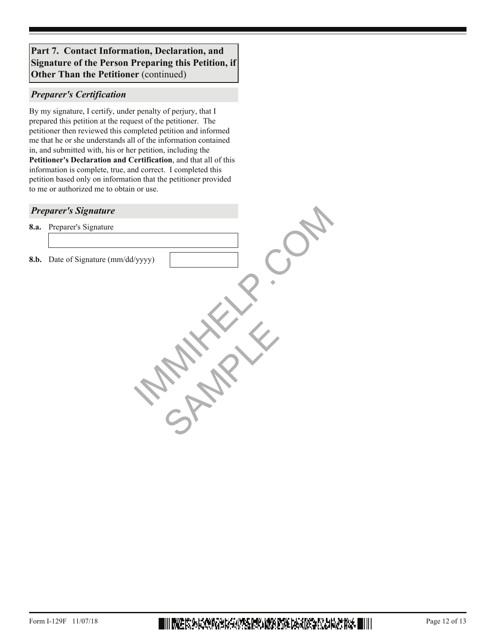#### **Part 7. Contact Information, Declaration, and Signature of the Person Preparing this Petition, if Other Than the Petitioner** (continued)

#### *Preparer's Certification*

By my signature, I certify, under penalty of perjury, that I prepared this petition at the request of the petitioner. The petitioner then reviewed this completed petition and informed me that he or she understands all of the information contained in, and submitted with, his or her petition, including the **Petitioner's Declaration and Certification**, and that all of this information is complete, true, and correct. I completed this petition based only on information that the petitioner provided to me or authorized me to obtain or use.

#### *Preparer's Signature*

**8.a.** Preparer's Signature

**8.b.** Date of Signature (mm/dd/yyyy) **AMARK** 

SAMPLE